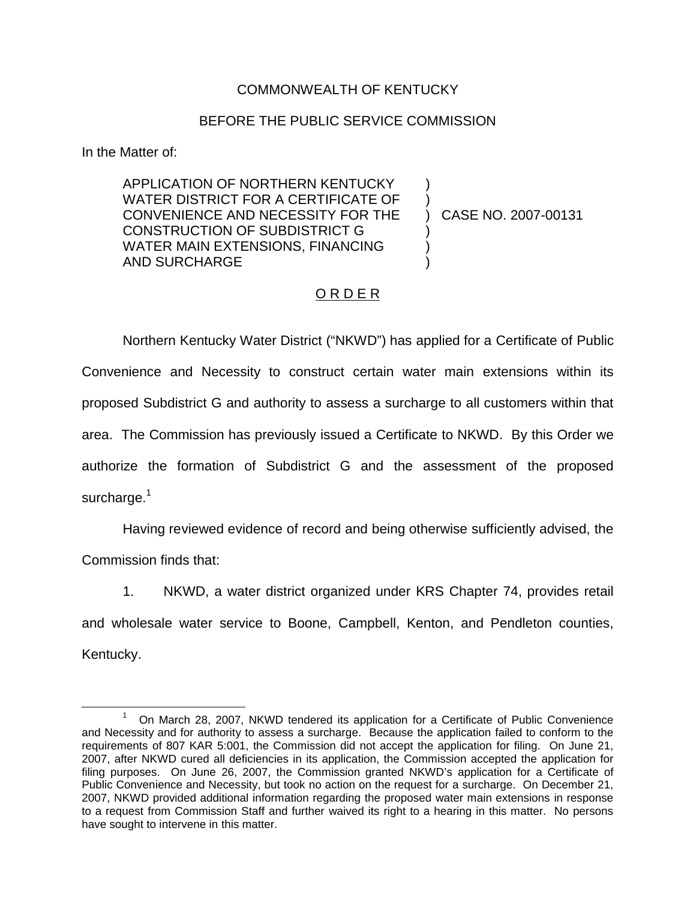## COMMONWEALTH OF KENTUCKY

## BEFORE THE PUBLIC SERVICE COMMISSION

In the Matter of:

APPLICATION OF NORTHERN KENTUCKY WATER DISTRICT FOR A CERTIFICATE OF CONVENIENCE AND NECESSITY FOR THE CONSTRUCTION OF SUBDISTRICT G WATER MAIN EXTENSIONS, FINANCING AND SURCHARGE

) CASE NO. 2007-00131

) )

) ) )

## O R D E R

Northern Kentucky Water District ("NKWD") has applied for a Certificate of Public Convenience and Necessity to construct certain water main extensions within its proposed Subdistrict G and authority to assess a surcharge to all customers within that area. The Commission has previously issued a Certificate to NKWD. By this Order we authorize the formation of Subdistrict G and the assessment of the proposed surcharge.<sup>1</sup>

Having reviewed evidence of record and being otherwise sufficiently advised, the Commission finds that:

1. NKWD, a water district organized under KRS Chapter 74, provides retail and wholesale water service to Boone, Campbell, Kenton, and Pendleton counties, Kentucky.

<sup>1</sup> On March 28, 2007, NKWD tendered its application for a Certificate of Public Convenience and Necessity and for authority to assess a surcharge. Because the application failed to conform to the requirements of 807 KAR 5:001, the Commission did not accept the application for filing. On June 21, 2007, after NKWD cured all deficiencies in its application, the Commission accepted the application for filing purposes. On June 26, 2007, the Commission granted NKWD's application for a Certificate of Public Convenience and Necessity, but took no action on the request for a surcharge. On December 21, 2007, NKWD provided additional information regarding the proposed water main extensions in response to a request from Commission Staff and further waived its right to a hearing in this matter. No persons have sought to intervene in this matter.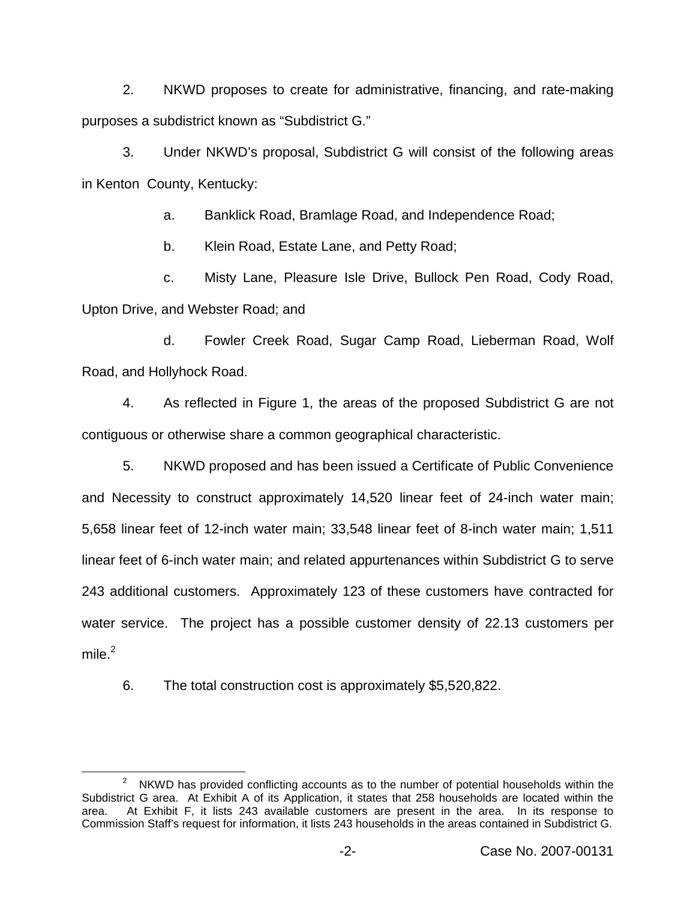2. NKWD proposes to create for administrative, financing, and rate-making purposes a subdistrict known as "Subdistrict G."

3. Under NKWD's proposal, Subdistrict G will consist of the following areas in Kenton County, Kentucky:

a. Banklick Road, Bramlage Road, and Independence Road;

b. Klein Road, Estate Lane, and Petty Road;

c. Misty Lane, Pleasure Isle Drive, Bullock Pen Road, Cody Road, Upton Drive, and Webster Road; and

d. Fowler Creek Road, Sugar Camp Road, Lieberman Road, Wolf Road, and Hollyhock Road.

4. As reflected in Figure 1, the areas of the proposed Subdistrict G are not contiguous or otherwise share a common geographical characteristic.

5. NKWD proposed and has been issued a Certificate of Public Convenience and Necessity to construct approximately 14,520 linear feet of 24-inch water main; 5,658 linear feet of 12-inch water main; 33,548 linear feet of 8-inch water main; 1,511 linear feet of 6-inch water main; and related appurtenances within Subdistrict G to serve 243 additional customers. Approximately 123 of these customers have contracted for water service. The project has a possible customer density of 22.13 customers per mile $^2$ 

6. The total construction cost is approximately \$5,520,822.

 $2^2$  NKWD has provided conflicting accounts as to the number of potential households within the Subdistrict G area. At Exhibit A of its Application, it states that 258 households are located within the area. At Exhibit F, it lists 243 available customers are present in the area. In its response to Commission Staff's request for information, it lists 243 households in the areas contained in Subdistrict G.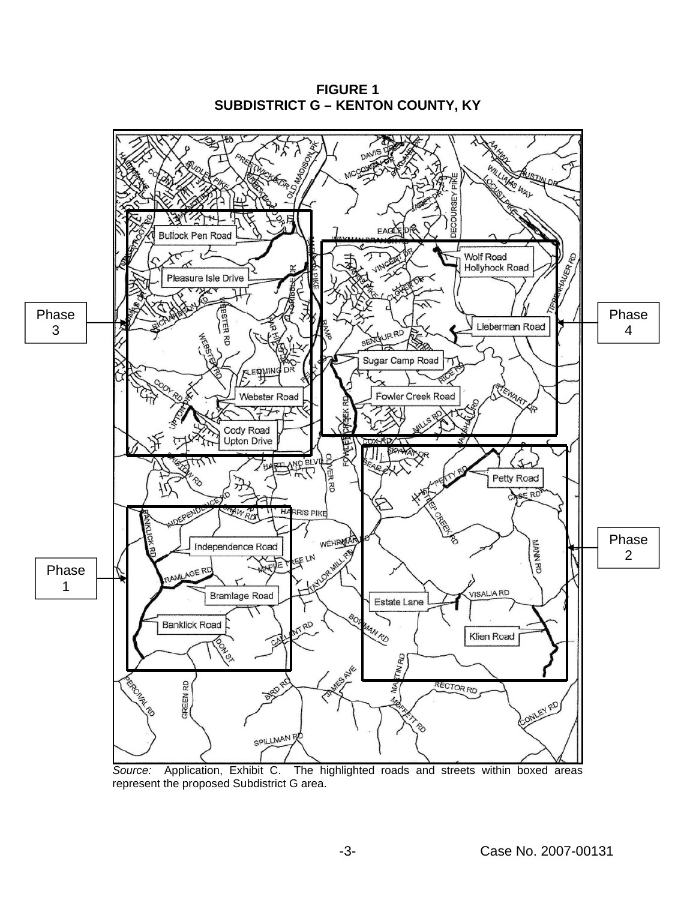

**FIGURE 1 SUBDISTRICT G – KENTON COUNTY, KY**

*Source:* Application, Exhibit C. The highlighted roads and streets within boxed areas represent the proposed Subdistrict G area.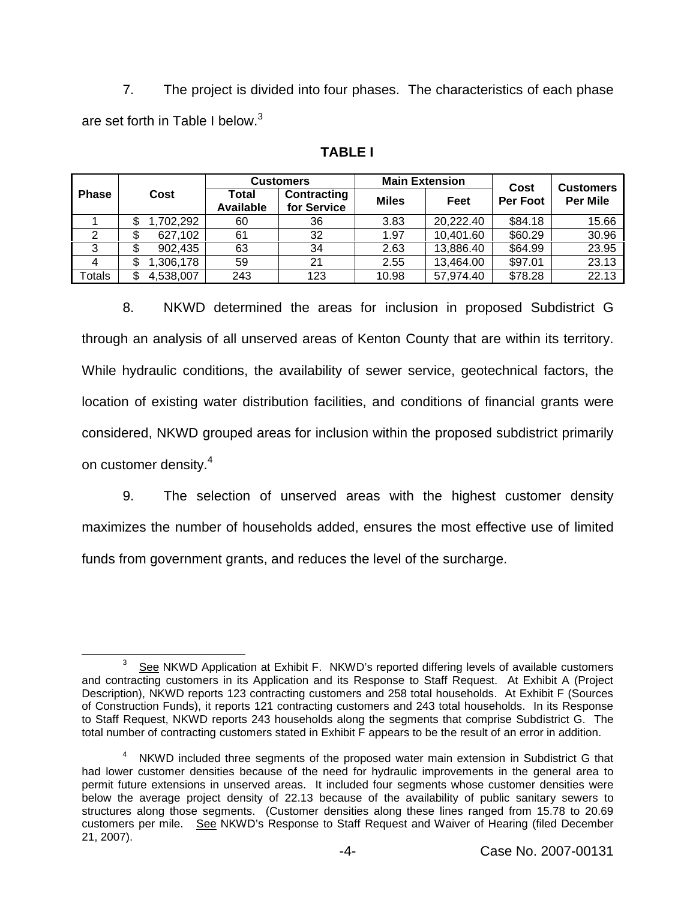7. The project is divided into four phases. The characteristics of each phase are set forth in Table I below.<sup>3</sup>

|                | Cost            | <b>Customers</b>          |                                   | <b>Main Extension</b> |           | Cost            | <b>Customers</b> |
|----------------|-----------------|---------------------------|-----------------------------------|-----------------------|-----------|-----------------|------------------|
| <b>Phase</b>   |                 | Total<br><b>Available</b> | <b>Contracting</b><br>for Service | <b>Miles</b>          | Feet      | <b>Per Foot</b> | <b>Per Mile</b>  |
|                | ,702,292<br>\$  | 60                        | 36                                | 3.83                  | 20,222.40 | \$84.18         | 15.66            |
| 2              | 627,102<br>\$   | 61                        | 32                                | 1.97                  | 10,401.60 | \$60.29         | 30.96            |
|                | 902,435<br>S    | 63                        | 34                                | 2.63                  | 13,886.40 | \$64.99         | 23.95            |
| $\overline{4}$ | ,306,178<br>D   | 59                        | 21                                | 2.55                  | 13,464.00 | \$97.01         | 23.13            |
| Totals         | 4,538,007<br>\$ | 243                       | 123                               | 10.98                 | 57,974.40 | \$78.28         | 22.13            |

## **TABLE I**

8. NKWD determined the areas for inclusion in proposed Subdistrict G through an analysis of all unserved areas of Kenton County that are within its territory. While hydraulic conditions, the availability of sewer service, geotechnical factors, the location of existing water distribution facilities, and conditions of financial grants were considered, NKWD grouped areas for inclusion within the proposed subdistrict primarily on customer density.<sup>4</sup>

9. The selection of unserved areas with the highest customer density maximizes the number of households added, ensures the most effective use of limited funds from government grants, and reduces the level of the surcharge.

 $3$  See NKWD Application at Exhibit F. NKWD's reported differing levels of available customers and contracting customers in its Application and its Response to Staff Request. At Exhibit A (Project Description), NKWD reports 123 contracting customers and 258 total households. At Exhibit F (Sources of Construction Funds), it reports 121 contracting customers and 243 total households. In its Response to Staff Request, NKWD reports 243 households along the segments that comprise Subdistrict G. The total number of contracting customers stated in Exhibit F appears to be the result of an error in addition.

<sup>&</sup>lt;sup>4</sup> NKWD included three segments of the proposed water main extension in Subdistrict G that had lower customer densities because of the need for hydraulic improvements in the general area to permit future extensions in unserved areas. It included four segments whose customer densities were below the average project density of 22.13 because of the availability of public sanitary sewers to structures along those segments. (Customer densities along these lines ranged from 15.78 to 20.69 customers per mile. See NKWD's Response to Staff Request and Waiver of Hearing (filed December 21, 2007).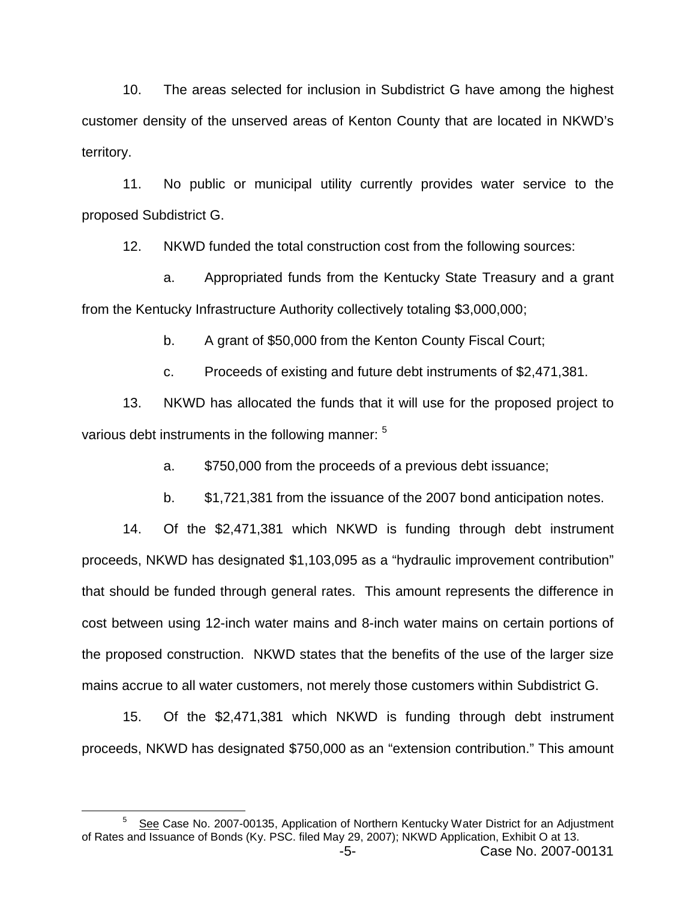10. The areas selected for inclusion in Subdistrict G have among the highest customer density of the unserved areas of Kenton County that are located in NKWD's territory.

11. No public or municipal utility currently provides water service to the proposed Subdistrict G.

12. NKWD funded the total construction cost from the following sources:

a. Appropriated funds from the Kentucky State Treasury and a grant from the Kentucky Infrastructure Authority collectively totaling \$3,000,000;

b. A grant of \$50,000 from the Kenton County Fiscal Court;

c. Proceeds of existing and future debt instruments of \$2,471,381.

13. NKWD has allocated the funds that it will use for the proposed project to various debt instruments in the following manner: <sup>5</sup>

a. \$750,000 from the proceeds of a previous debt issuance;

b. \$1,721,381 from the issuance of the 2007 bond anticipation notes.

14. Of the \$2,471,381 which NKWD is funding through debt instrument proceeds, NKWD has designated \$1,103,095 as a "hydraulic improvement contribution" that should be funded through general rates. This amount represents the difference in cost between using 12-inch water mains and 8-inch water mains on certain portions of the proposed construction. NKWD states that the benefits of the use of the larger size mains accrue to all water customers, not merely those customers within Subdistrict G.

15. Of the \$2,471,381 which NKWD is funding through debt instrument proceeds, NKWD has designated \$750,000 as an "extension contribution." This amount

<sup>&</sup>lt;sup>5</sup> See Case No. 2007-00135, Application of Northern Kentucky Water District for an Adjustment of Rates and Issuance of Bonds (Ky. PSC. filed May 29, 2007); NKWD Application, Exhibit O at 13.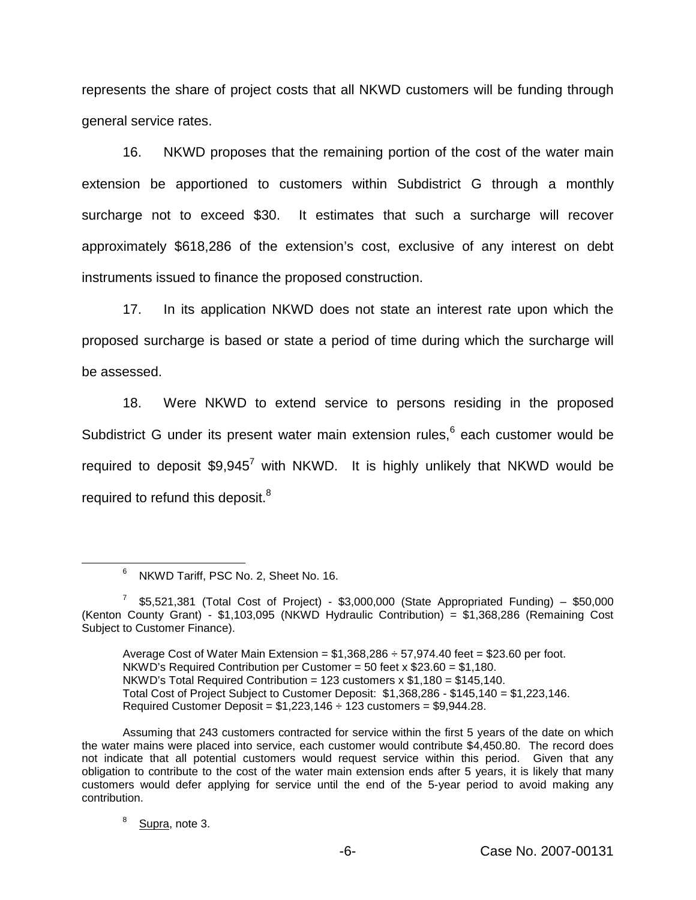represents the share of project costs that all NKWD customers will be funding through general service rates.

16. NKWD proposes that the remaining portion of the cost of the water main extension be apportioned to customers within Subdistrict G through a monthly surcharge not to exceed \$30. It estimates that such a surcharge will recover approximately \$618,286 of the extension's cost, exclusive of any interest on debt instruments issued to finance the proposed construction.

17. In its application NKWD does not state an interest rate upon which the proposed surcharge is based or state a period of time during which the surcharge will be assessed.

18. Were NKWD to extend service to persons residing in the proposed Subdistrict G under its present water main extension rules,<sup>6</sup> each customer would be required to deposit  $$9.945^7$  with NKWD. It is highly unlikely that NKWD would be required to refund this deposit.<sup>8</sup>

Average Cost of Water Main Extension =  $$1,368,286 \div 57,974.40$  feet =  $$23.60$  per foot. NKWD's Required Contribution per Customer = 50 feet x \$23.60 = \$1,180. NKWD's Total Required Contribution = 123 customers  $x $1,180 = $145,140$ . Total Cost of Project Subject to Customer Deposit: \$1,368,286 - \$145,140 = \$1,223,146. Required Customer Deposit =  $$1,223,146 \div 123$  customers =  $$9,944.28$ .

<sup>6</sup> NKWD Tariff, PSC No. 2, Sheet No. 16.

 $7$  \$5,521,381 (Total Cost of Project) - \$3,000,000 (State Appropriated Funding) – \$50,000 (Kenton County Grant) - \$1,103,095 (NKWD Hydraulic Contribution) = \$1,368,286 (Remaining Cost Subject to Customer Finance).

Assuming that 243 customers contracted for service within the first 5 years of the date on which the water mains were placed into service, each customer would contribute \$4,450.80. The record does not indicate that all potential customers would request service within this period. Given that any obligation to contribute to the cost of the water main extension ends after 5 years, it is likely that many customers would defer applying for service until the end of the 5-year period to avoid making any contribution.

 $8$  Supra, note 3.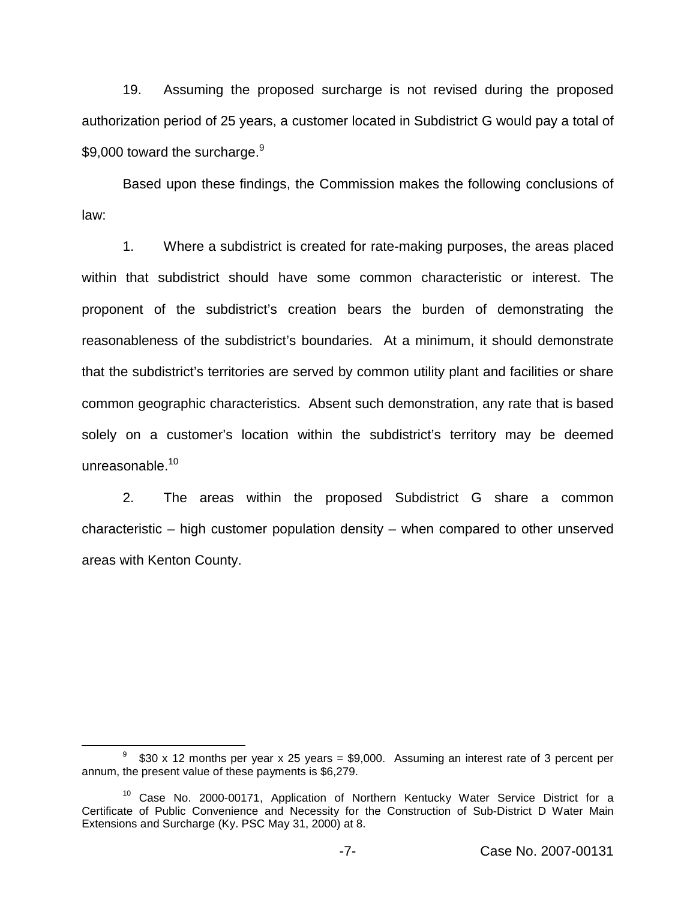19. Assuming the proposed surcharge is not revised during the proposed authorization period of 25 years, a customer located in Subdistrict G would pay a total of \$9.000 toward the surcharge. $9$ 

Based upon these findings, the Commission makes the following conclusions of law:

1. Where a subdistrict is created for rate-making purposes, the areas placed within that subdistrict should have some common characteristic or interest. The proponent of the subdistrict's creation bears the burden of demonstrating the reasonableness of the subdistrict's boundaries. At a minimum, it should demonstrate that the subdistrict's territories are served by common utility plant and facilities or share common geographic characteristics. Absent such demonstration, any rate that is based solely on a customer's location within the subdistrict's territory may be deemed unreasonable.<sup>10</sup>

2. The areas within the proposed Subdistrict G share a common characteristic – high customer population density – when compared to other unserved areas with Kenton County.

 $9$  \$30 x 12 months per year x 25 years = \$9,000. Assuming an interest rate of 3 percent per annum, the present value of these payments is \$6,279.

<sup>10</sup> Case No. 2000-00171, Application of Northern Kentucky Water Service District for a Certificate of Public Convenience and Necessity for the Construction of Sub-District D Water Main Extensions and Surcharge (Ky. PSC May 31, 2000) at 8.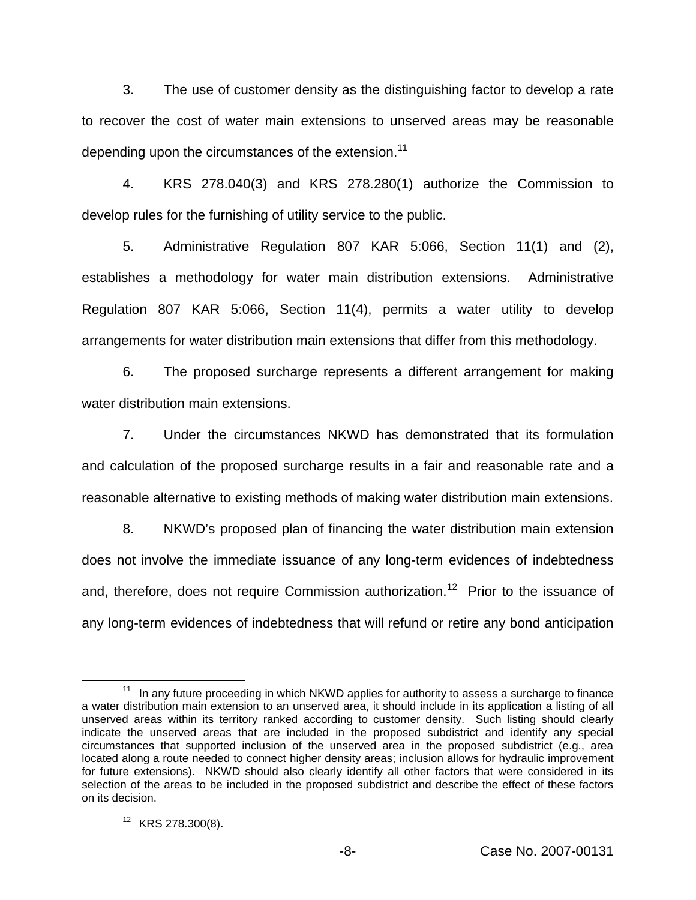3. The use of customer density as the distinguishing factor to develop a rate to recover the cost of water main extensions to unserved areas may be reasonable depending upon the circumstances of the extension.<sup>11</sup>

4. KRS 278.040(3) and KRS 278.280(1) authorize the Commission to develop rules for the furnishing of utility service to the public.

5. Administrative Regulation 807 KAR 5:066, Section 11(1) and (2), establishes a methodology for water main distribution extensions. Administrative Regulation 807 KAR 5:066, Section 11(4), permits a water utility to develop arrangements for water distribution main extensions that differ from this methodology.

6. The proposed surcharge represents a different arrangement for making water distribution main extensions.

7. Under the circumstances NKWD has demonstrated that its formulation and calculation of the proposed surcharge results in a fair and reasonable rate and a reasonable alternative to existing methods of making water distribution main extensions.

8. NKWD's proposed plan of financing the water distribution main extension does not involve the immediate issuance of any long-term evidences of indebtedness and, therefore, does not require Commission authorization.<sup>12</sup> Prior to the issuance of any long-term evidences of indebtedness that will refund or retire any bond anticipation

 $11$  In any future proceeding in which NKWD applies for authority to assess a surcharge to finance a water distribution main extension to an unserved area, it should include in its application a listing of all unserved areas within its territory ranked according to customer density. Such listing should clearly indicate the unserved areas that are included in the proposed subdistrict and identify any special circumstances that supported inclusion of the unserved area in the proposed subdistrict (e.g., area located along a route needed to connect higher density areas; inclusion allows for hydraulic improvement for future extensions). NKWD should also clearly identify all other factors that were considered in its selection of the areas to be included in the proposed subdistrict and describe the effect of these factors on its decision.

 $12$  KRS 278.300(8).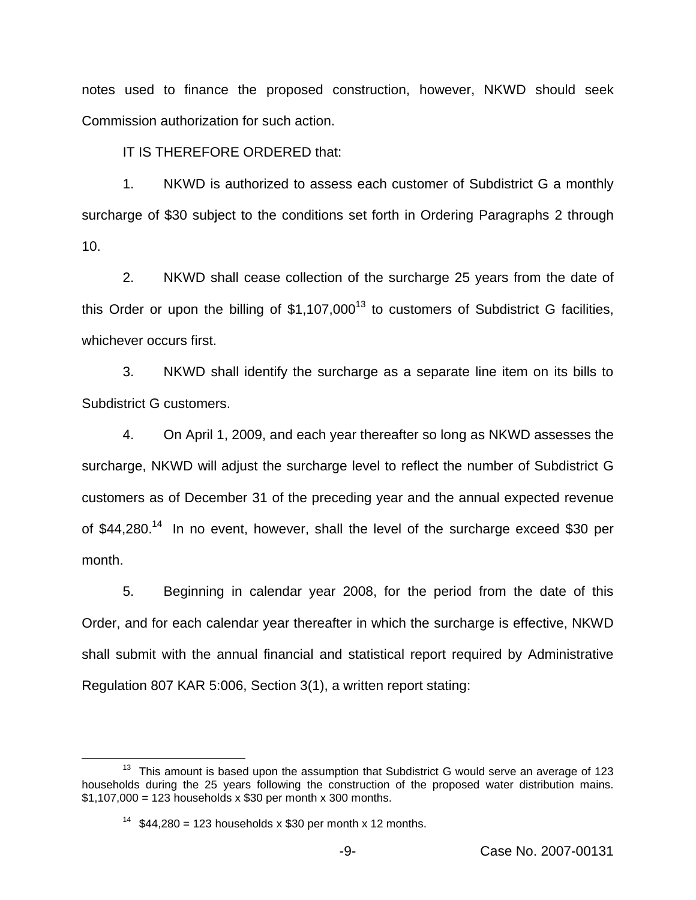notes used to finance the proposed construction, however, NKWD should seek Commission authorization for such action.

IT IS THEREFORE ORDERED that:

1. NKWD is authorized to assess each customer of Subdistrict G a monthly surcharge of \$30 subject to the conditions set forth in Ordering Paragraphs 2 through 10.

2. NKWD shall cease collection of the surcharge 25 years from the date of this Order or upon the billing of  $$1,107,000<sup>13</sup>$  to customers of Subdistrict G facilities, whichever occurs first.

3. NKWD shall identify the surcharge as a separate line item on its bills to Subdistrict G customers.

4. On April 1, 2009, and each year thereafter so long as NKWD assesses the surcharge, NKWD will adjust the surcharge level to reflect the number of Subdistrict G customers as of December 31 of the preceding year and the annual expected revenue of \$44,280.<sup>14</sup> In no event, however, shall the level of the surcharge exceed \$30 per month.

5. Beginning in calendar year 2008, for the period from the date of this Order, and for each calendar year thereafter in which the surcharge is effective, NKWD shall submit with the annual financial and statistical report required by Administrative Regulation 807 KAR 5:006, Section 3(1), a written report stating:

 $13$  This amount is based upon the assumption that Subdistrict G would serve an average of 123 households during the 25 years following the construction of the proposed water distribution mains.  $$1,107,000 = 123$  households x \$30 per month x 300 months.

<sup>&</sup>lt;sup>14</sup> \$44,280 = 123 households x \$30 per month x 12 months.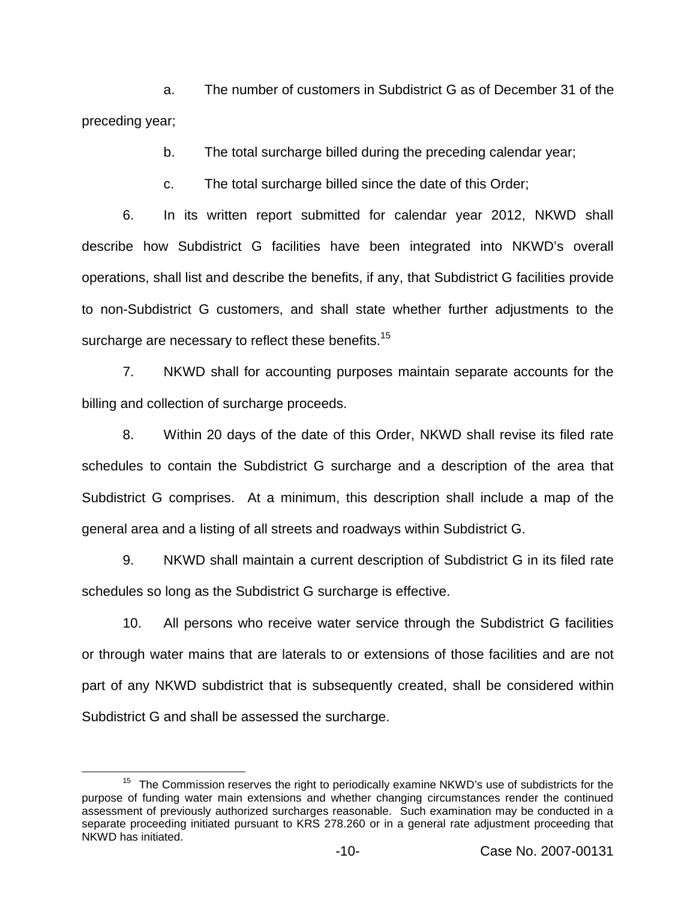a. The number of customers in Subdistrict G as of December 31 of the preceding year;

b. The total surcharge billed during the preceding calendar year;

c. The total surcharge billed since the date of this Order;

6. In its written report submitted for calendar year 2012, NKWD shall describe how Subdistrict G facilities have been integrated into NKWD's overall operations, shall list and describe the benefits, if any, that Subdistrict G facilities provide to non-Subdistrict G customers, and shall state whether further adjustments to the surcharge are necessary to reflect these benefits.<sup>15</sup>

7. NKWD shall for accounting purposes maintain separate accounts for the billing and collection of surcharge proceeds.

8. Within 20 days of the date of this Order, NKWD shall revise its filed rate schedules to contain the Subdistrict G surcharge and a description of the area that Subdistrict G comprises. At a minimum, this description shall include a map of the general area and a listing of all streets and roadways within Subdistrict G.

9. NKWD shall maintain a current description of Subdistrict G in its filed rate schedules so long as the Subdistrict G surcharge is effective.

10. All persons who receive water service through the Subdistrict G facilities or through water mains that are laterals to or extensions of those facilities and are not part of any NKWD subdistrict that is subsequently created, shall be considered within Subdistrict G and shall be assessed the surcharge.

<sup>&</sup>lt;sup>15</sup> The Commission reserves the right to periodically examine NKWD's use of subdistricts for the purpose of funding water main extensions and whether changing circumstances render the continued assessment of previously authorized surcharges reasonable. Such examination may be conducted in a separate proceeding initiated pursuant to KRS 278.260 or in a general rate adjustment proceeding that NKWD has initiated.